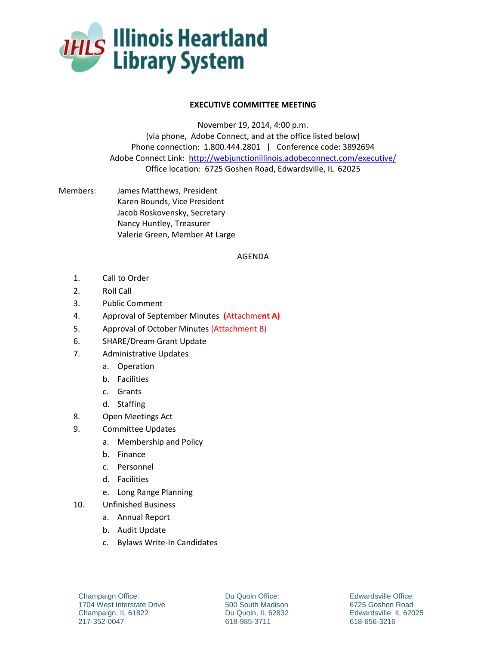

## **EXECUTIVE COMMITTEE MEETING**

November 19, 2014, 4:00 p.m. (via phone, Adobe Connect, and at the office listed below) Phone connection: 1.800.444.2801 | Conference code: 3892694 Adobe Connect Link:<http://webjunctionillinois.adobeconnect.com/executive/> Office location: 6725 Goshen Road, Edwardsville, IL 62025

Members: James Matthews, President Karen Bounds, Vice President Jacob Roskovensky, Secretary Nancy Huntley, Treasurer Valerie Green, Member At Large

## AGENDA

- 1. Call to Order
- 2. Roll Call
- 3. Public Comment
- 4. Approval of September Minutes **(**Attachme**nt A)**
- 5. Approval of October Minutes (Attachment B)
- 6. SHARE/Dream Grant Update
- 7. Administrative Updates
	- a. Operation
	- b. Facilities
	- c. Grants
	- d. Staffing
- 8. Open Meetings Act
- 9. Committee Updates
	- a. Membership and Policy
	- b. Finance
	- c. Personnel
	- d. Facilities
	- e. Long Range Planning
- 10. Unfinished Business
	- a. Annual Report
	- b. Audit Update
	- c. Bylaws Write-In Candidates

Du Quoin Office: 500 South Madison Du Quoin, IL 62832 618-985-3711